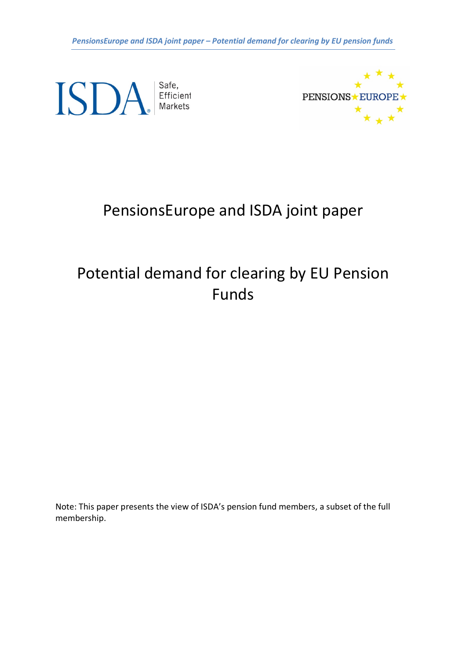*PensionsEurope and ISDA joint paper – Potential demand for clearing by EU pension funds*

ISDA Fficient



# PensionsEurope and ISDA joint paper

# Potential demand for clearing by EU Pension Funds

Note: This paper presents the view of ISDA's pension fund members, a subset of the full membership.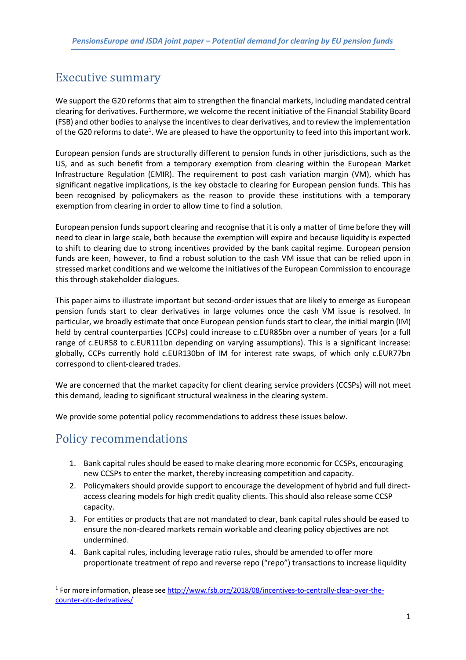# Executive summary

We support the G20 reforms that aim to strengthen the financial markets, including mandated central clearing for derivatives. Furthermore, we welcome the recent initiative of the Financial Stability Board (FSB) and other bodiesto analyse the incentives to clear derivatives, and to review the implementation of the G20 reforms to date<sup>1</sup>. We are pleased to have the opportunity to feed into this important work.

European pension funds are structurally different to pension funds in other jurisdictions, such as the US, and as such benefit from a temporary exemption from clearing within the European Market Infrastructure Regulation (EMIR). The requirement to post cash variation margin (VM), which has significant negative implications, is the key obstacle to clearing for European pension funds. This has been recognised by policymakers as the reason to provide these institutions with a temporary exemption from clearing in order to allow time to find a solution.

European pension funds support clearing and recognise that it is only a matter of time before they will need to clear in large scale, both because the exemption will expire and because liquidity is expected to shift to clearing due to strong incentives provided by the bank capital regime. European pension funds are keen, however, to find a robust solution to the cash VM issue that can be relied upon in stressed market conditions and we welcome the initiatives of the European Commission to encourage this through stakeholder dialogues.

This paper aims to illustrate important but second-order issues that are likely to emerge as European pension funds start to clear derivatives in large volumes once the cash VM issue is resolved. In particular, we broadly estimate that once European pension funds start to clear, the initial margin (IM) held by central counterparties (CCPs) could increase to c.EUR85bn over a number of years (or a full range of c.EUR58 to c.EUR111bn depending on varying assumptions). This is a significant increase: globally, CCPs currently hold c.EUR130bn of IM for interest rate swaps, of which only c.EUR77bn correspond to client-cleared trades.

We are concerned that the market capacity for client clearing service providers (CCSPs) will not meet this demand, leading to significant structural weakness in the clearing system.

We provide some potential policy recommendations to address these issues below.

# Policy recommendations

- 1. Bank capital rules should be eased to make clearing more economic for CCSPs, encouraging new CCSPs to enter the market, thereby increasing competition and capacity.
- 2. Policymakers should provide support to encourage the development of hybrid and full directaccess clearing models for high credit quality clients. This should also release some CCSP capacity.
- 3. For entities or products that are not mandated to clear, bank capital rules should be eased to ensure the non-cleared markets remain workable and clearing policy objectives are not undermined.
- 4. Bank capital rules, including leverage ratio rules, should be amended to offer more proportionate treatment of repo and reverse repo ("repo") transactions to increase liquidity

 <sup>1</sup> For more information, please see http://www.fsb.org/2018/08/incentives-to-centrally-clear-over-thecounter-otc-derivatives/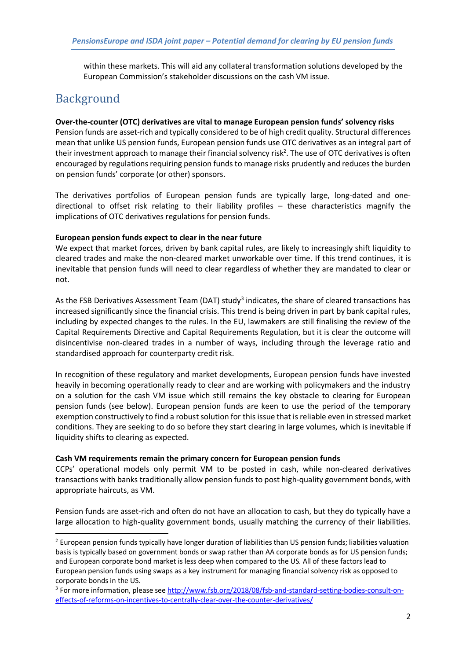within these markets. This will aid any collateral transformation solutions developed by the European Commission's stakeholder discussions on the cash VM issue.

## Background

#### **Over-the-counter (OTC) derivatives are vital to manage European pension funds' solvency risks**

Pension funds are asset-rich and typically considered to be of high credit quality. Structural differences mean that unlike US pension funds, European pension funds use OTC derivatives as an integral part of their investment approach to manage their financial solvency risk<sup>2</sup>. The use of OTC derivatives is often encouraged by regulations requiring pension funds to manage risks prudently and reduces the burden on pension funds' corporate (or other) sponsors.

The derivatives portfolios of European pension funds are typically large, long-dated and onedirectional to offset risk relating to their liability profiles – these characteristics magnify the implications of OTC derivatives regulations for pension funds.

#### **European pension funds expect to clear in the near future**

We expect that market forces, driven by bank capital rules, are likely to increasingly shift liquidity to cleared trades and make the non-cleared market unworkable over time. If this trend continues, it is inevitable that pension funds will need to clear regardless of whether they are mandated to clear or not.

As the FSB Derivatives Assessment Team (DAT) study<sup>3</sup> indicates, the share of cleared transactions has increased significantly since the financial crisis. This trend is being driven in part by bank capital rules, including by expected changes to the rules. In the EU, lawmakers are still finalising the review of the Capital Requirements Directive and Capital Requirements Regulation, but it is clear the outcome will disincentivise non-cleared trades in a number of ways, including through the leverage ratio and standardised approach for counterparty credit risk.

In recognition of these regulatory and market developments, European pension funds have invested heavily in becoming operationally ready to clear and are working with policymakers and the industry on a solution for the cash VM issue which still remains the key obstacle to clearing for European pension funds (see below). European pension funds are keen to use the period of the temporary exemption constructively to find a robust solution for this issue that is reliable even in stressed market conditions. They are seeking to do so before they start clearing in large volumes, which is inevitable if liquidity shifts to clearing as expected.

#### **Cash VM requirements remain the primary concern for European pension funds**

CCPs' operational models only permit VM to be posted in cash, while non-cleared derivatives transactions with banks traditionally allow pension funds to post high-quality government bonds, with appropriate haircuts, as VM.

Pension funds are asset-rich and often do not have an allocation to cash, but they do typically have a large allocation to high-quality government bonds, usually matching the currency of their liabilities.

<sup>&</sup>lt;sup>2</sup> European pension funds typically have longer duration of liabilities than US pension funds; liabilities valuation basis is typically based on government bonds or swap rather than AA corporate bonds as for US pension funds; and European corporate bond market is less deep when compared to the US. All of these factors lead to European pension funds using swaps as a key instrument for managing financial solvency risk as opposed to corporate bonds in the US.

<sup>&</sup>lt;sup>3</sup> For more information, please see http://www.fsb.org/2018/08/fsb-and-standard-setting-bodies-consult-oneffects-of-reforms-on-incentives-to-centrally-clear-over-the-counter-derivatives/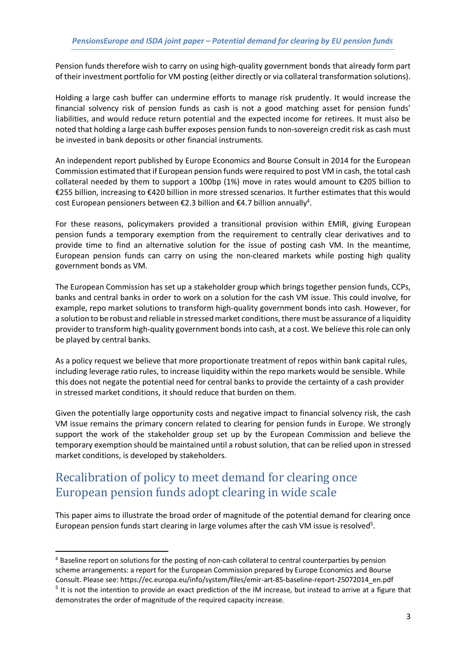Pension funds therefore wish to carry on using high-quality government bonds that already form part of their investment portfolio for VM posting (either directly or via collateral transformation solutions).

Holding a large cash buffer can undermine efforts to manage risk prudently. It would increase the financial solvency risk of pension funds as cash is not a good matching asset for pension funds' liabilities, and would reduce return potential and the expected income for retirees. It must also be noted that holding a large cash buffer exposes pension funds to non-sovereign credit risk as cash must be invested in bank deposits or other financial instruments.

An independent report published by Europe Economics and Bourse Consult in 2014 for the European Commission estimated that if European pension funds were required to post VM in cash, the total cash collateral needed by them to support a 100bp (1%) move in rates would amount to  $\epsilon$ 205 billion to €255 billion, increasing to €420 billion in more stressed scenarios. It further estimates that this would cost European pensioners between  $E$ 2.3 billion and  $E$ 4.7 billion annually<sup>4</sup>.

For these reasons, policymakers provided a transitional provision within EMIR, giving European pension funds a temporary exemption from the requirement to centrally clear derivatives and to provide time to find an alternative solution for the issue of posting cash VM. In the meantime, European pension funds can carry on using the non-cleared markets while posting high quality government bonds as VM.

The European Commission has set up a stakeholder group which brings together pension funds, CCPs, banks and central banks in order to work on a solution for the cash VM issue. This could involve, for example, repo market solutions to transform high-quality government bonds into cash. However, for a solution to be robust and reliable in stressed market conditions, there must be assurance of a liquidity provider to transform high-quality government bonds into cash, at a cost. We believe this role can only be played by central banks.

As a policy request we believe that more proportionate treatment of repos within bank capital rules, including leverage ratio rules, to increase liquidity within the repo markets would be sensible. While this does not negate the potential need for central banks to provide the certainty of a cash provider in stressed market conditions, it should reduce that burden on them.

Given the potentially large opportunity costs and negative impact to financial solvency risk, the cash VM issue remains the primary concern related to clearing for pension funds in Europe. We strongly support the work of the stakeholder group set up by the European Commission and believe the temporary exemption should be maintained until a robust solution, that can be relied upon in stressed market conditions, is developed by stakeholders.

# Recalibration of policy to meet demand for clearing once European pension funds adopt clearing in wide scale

This paper aims to illustrate the broad order of magnitude of the potential demand for clearing once European pension funds start clearing in large volumes after the cash VM issue is resolved<sup>5</sup>.

 <sup>4</sup> Baseline report on solutions for the posting of non-cash collateral to central counterparties by pension scheme arrangements: a report for the European Commission prepared by Europe Economics and Bourse Consult. Please see: https://ec.europa.eu/info/system/files/emir-art-85-baseline-report-25072014\_en.pdf  $<sup>5</sup>$  It is not the intention to provide an exact prediction of the IM increase, but instead to arrive at a figure that</sup> demonstrates the order of magnitude of the required capacity increase.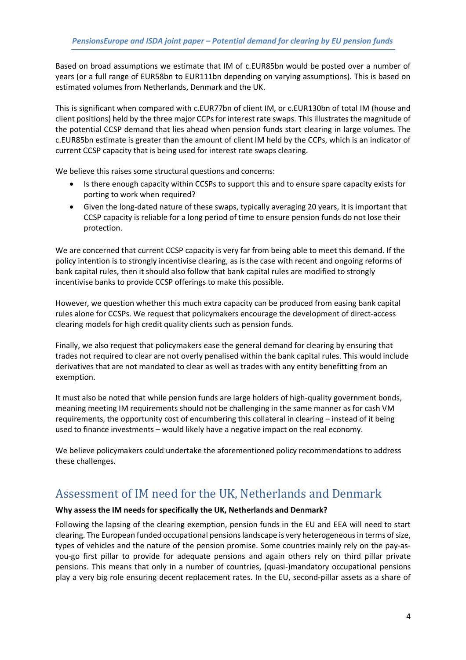Based on broad assumptions we estimate that IM of c.EUR85bn would be posted over a number of years (or a full range of EUR58bn to EUR111bn depending on varying assumptions). This is based on estimated volumes from Netherlands, Denmark and the UK.

This is significant when compared with c.EUR77bn of client IM, or c.EUR130bn of total IM (house and client positions) held by the three major CCPs for interest rate swaps. This illustrates the magnitude of the potential CCSP demand that lies ahead when pension funds start clearing in large volumes. The c.EUR85bn estimate is greater than the amount of client IM held by the CCPs, which is an indicator of current CCSP capacity that is being used for interest rate swaps clearing.

We believe this raises some structural questions and concerns:

- Is there enough capacity within CCSPs to support this and to ensure spare capacity exists for porting to work when required?
- Given the long-dated nature of these swaps, typically averaging 20 years, it is important that CCSP capacity is reliable for a long period of time to ensure pension funds do not lose their protection.

We are concerned that current CCSP capacity is very far from being able to meet this demand. If the policy intention is to strongly incentivise clearing, as is the case with recent and ongoing reforms of bank capital rules, then it should also follow that bank capital rules are modified to strongly incentivise banks to provide CCSP offerings to make this possible.

However, we question whether this much extra capacity can be produced from easing bank capital rules alone for CCSPs. We request that policymakers encourage the development of direct-access clearing models for high credit quality clients such as pension funds.

Finally, we also request that policymakers ease the general demand for clearing by ensuring that trades not required to clear are not overly penalised within the bank capital rules. This would include derivatives that are not mandated to clear as well as trades with any entity benefitting from an exemption.

It must also be noted that while pension funds are large holders of high-quality government bonds, meaning meeting IM requirements should not be challenging in the same manner as for cash VM requirements, the opportunity cost of encumbering this collateral in clearing – instead of it being used to finance investments – would likely have a negative impact on the real economy.

We believe policymakers could undertake the aforementioned policy recommendations to address these challenges.

### Assessment of IM need for the UK, Netherlands and Denmark

#### **Why assess the IM needs for specifically the UK, Netherlands and Denmark?**

Following the lapsing of the clearing exemption, pension funds in the EU and EEA will need to start clearing. The European funded occupational pensions landscape is very heterogeneous in terms of size, types of vehicles and the nature of the pension promise. Some countries mainly rely on the pay-asyou-go first pillar to provide for adequate pensions and again others rely on third pillar private pensions. This means that only in a number of countries, (quasi-)mandatory occupational pensions play a very big role ensuring decent replacement rates. In the EU, second-pillar assets as a share of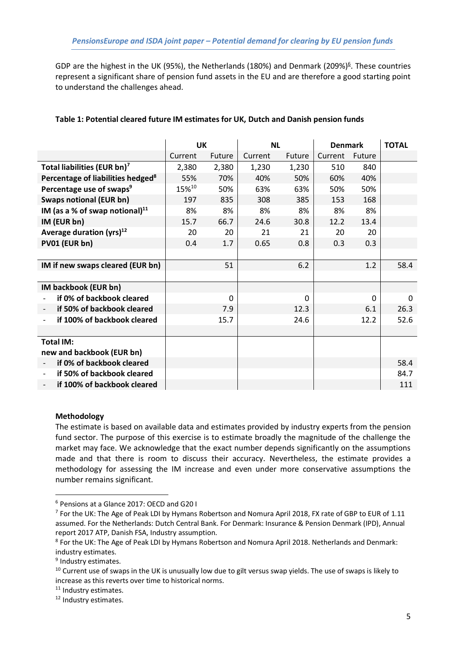GDP are the highest in the UK (95%), the Netherlands (180%) and Denmark (209%)<sup>6</sup>. These countries represent a significant share of pension fund assets in the EU and are therefore a good starting point to understand the challenges ahead.

|                                                        | <b>UK</b> |        | <b>NL</b> |        | <b>Denmark</b> |        | <b>TOTAL</b> |
|--------------------------------------------------------|-----------|--------|-----------|--------|----------------|--------|--------------|
|                                                        | Current   | Future | Current   | Future | Current        | Future |              |
| Total liabilities (EUR bn) <sup>7</sup>                | 2,380     | 2,380  | 1,230     | 1,230  | 510            | 840    |              |
| Percentage of liabilities hedged <sup>8</sup>          | 55%       | 70%    | 40%       | 50%    | 60%            | 40%    |              |
| Percentage use of swaps <sup>9</sup>                   | 15%10     | 50%    | 63%       | 63%    | 50%            | 50%    |              |
| <b>Swaps notional (EUR bn)</b>                         | 197       | 835    | 308       | 385    | 153            | 168    |              |
| IM (as a % of swap notional) $^{11}$                   | 8%        | 8%     | 8%        | 8%     | 8%             | 8%     |              |
| IM (EUR bn)                                            | 15.7      | 66.7   | 24.6      | 30.8   | 12.2           | 13.4   |              |
| Average duration $(yrs)^{12}$                          | 20        | 20     | 21        | 21     | 20             | 20     |              |
| PV01 (EUR bn)                                          | 0.4       | 1.7    | 0.65      | 0.8    | 0.3            | 0.3    |              |
|                                                        |           |        |           |        |                |        |              |
| IM if new swaps cleared (EUR bn)                       |           | 51     |           | 6.2    |                | 1.2    | 58.4         |
|                                                        |           |        |           |        |                |        |              |
| IM backbook (EUR bn)                                   |           |        |           |        |                |        |              |
| if 0% of backbook cleared                              |           | 0      |           | 0      |                | 0      | 0            |
| if 50% of backbook cleared                             |           | 7.9    |           | 12.3   |                | 6.1    | 26.3         |
| if 100% of backbook cleared                            |           | 15.7   |           | 24.6   |                | 12.2   | 52.6         |
|                                                        |           |        |           |        |                |        |              |
| <b>Total IM:</b>                                       |           |        |           |        |                |        |              |
| new and backbook (EUR bn)                              |           |        |           |        |                |        |              |
| if 0% of backbook cleared                              |           |        |           |        |                |        | 58.4         |
| if 50% of backbook cleared<br>$\overline{\phantom{0}}$ |           |        |           |        |                |        | 84.7         |
| if 100% of backbook cleared                            |           |        |           |        |                |        | 111          |

### **Table 1: Potential cleared future IM estimates for UK, Dutch and Danish pension funds**

#### **Methodology**

The estimate is based on available data and estimates provided by industry experts from the pension fund sector. The purpose of this exercise is to estimate broadly the magnitude of the challenge the market may face. We acknowledge that the exact number depends significantly on the assumptions made and that there is room to discuss their accuracy. Nevertheless, the estimate provides a methodology for assessing the IM increase and even under more conservative assumptions the number remains significant.

 <sup>6</sup> Pensions at a Glance 2017: OECD and G20 I

<sup>&</sup>lt;sup>7</sup> For the UK: The Age of Peak LDI by Hymans Robertson and Nomura April 2018, FX rate of GBP to EUR of 1.11 assumed. For the Netherlands: Dutch Central Bank. For Denmark: Insurance & Pension Denmark (IPD), Annual report 2017 ATP, Danish FSA, Industry assumption.

<sup>8</sup> For the UK: The Age of Peak LDI by Hymans Robertson and Nomura April 2018. Netherlands and Denmark: industry estimates.

<sup>&</sup>lt;sup>9</sup> Industry estimates.

<sup>&</sup>lt;sup>10</sup> Current use of swaps in the UK is unusually low due to gilt versus swap yields. The use of swaps is likely to increase as this reverts over time to historical norms.

<sup>&</sup>lt;sup>11</sup> Industry estimates.

<sup>&</sup>lt;sup>12</sup> Industry estimates.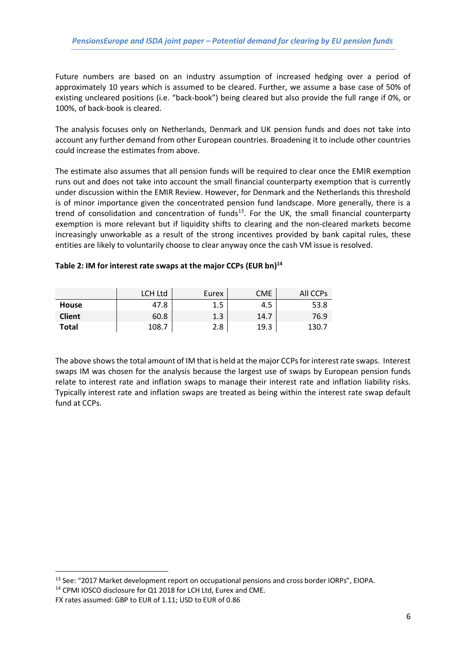Future numbers are based on an industry assumption of increased hedging over a period of approximately 10 years which is assumed to be cleared. Further, we assume a base case of 50% of existing uncleared positions (i.e. "back-book") being cleared but also provide the full range if 0%, or 100%, of back-book is cleared.

The analysis focuses only on Netherlands, Denmark and UK pension funds and does not take into account any further demand from other European countries. Broadening it to include other countries could increase the estimates from above.

The estimate also assumes that all pension funds will be required to clear once the EMIR exemption runs out and does not take into account the small financial counterparty exemption that is currently under discussion within the EMIR Review. However, for Denmark and the Netherlands this threshold is of minor importance given the concentrated pension fund landscape. More generally, there is a trend of consolidation and concentration of funds<sup>13</sup>. For the UK, the small financial counterparty exemption is more relevant but if liquidity shifts to clearing and the non-cleared markets become increasingly unworkable as a result of the strong incentives provided by bank capital rules, these entities are likely to voluntarily choose to clear anyway once the cash VM issue is resolved.

### **Table 2: IM for interest rate swaps at the major CCPs (EUR bn)14**

|               | LCH Ltd | Eurex | CME  | All CCPs |
|---------------|---------|-------|------|----------|
| <b>House</b>  | 47.8    | 1.5   | 4.5  | 53.8     |
| <b>Client</b> | 60.8    | 1.3   | 14.7 | 76.9     |
| Total         | 108.7   | 2.8   | 19.3 | 130.7    |

The above shows the total amount of IM that is held at the major CCPs for interest rate swaps. Interest swaps IM was chosen for the analysis because the largest use of swaps by European pension funds relate to interest rate and inflation swaps to manage their interest rate and inflation liability risks. Typically interest rate and inflation swaps are treated as being within the interest rate swap default fund at CCPs.

 $13$  See: "2017 Market development report on occupational pensions and cross border IORPs", EIOPA.  $14$  CPMI IOSCO disclosure for Q1 2018 for LCH Ltd, Eurex and CME.

FX rates assumed: GBP to EUR of 1.11; USD to EUR of 0.86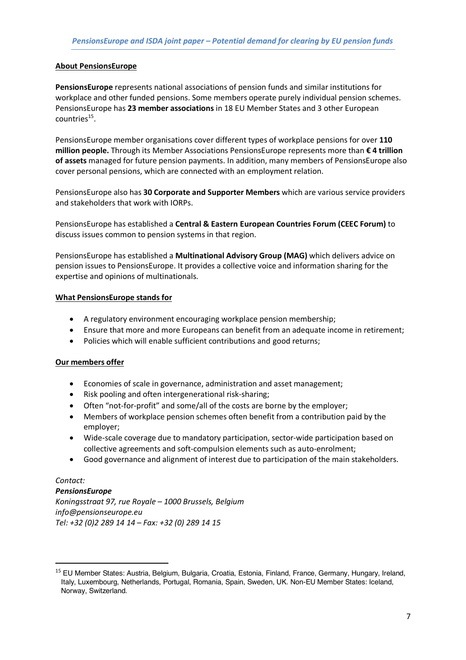#### **About PensionsEurope**

**PensionsEurope** represents national associations of pension funds and similar institutions for workplace and other funded pensions. Some members operate purely individual pension schemes. PensionsEurope has **23 member associations** in 18 EU Member States and 3 other European countries15.

PensionsEurope member organisations cover different types of workplace pensions for over **110 million people.** Through its Member Associations PensionsEurope represents more than **€ 4 trillion of assets** managed for future pension payments. In addition, many members of PensionsEurope also cover personal pensions, which are connected with an employment relation.

PensionsEurope also has **30 Corporate and Supporter Members** which are various service providers and stakeholders that work with IORPs.

PensionsEurope has established a **Central & Eastern European Countries Forum (CEEC Forum)** to discuss issues common to pension systems in that region.

PensionsEurope has established a **Multinational Advisory Group (MAG)** which delivers advice on pension issues to PensionsEurope. It provides a collective voice and information sharing for the expertise and opinions of multinationals.

#### **What PensionsEurope stands for**

- A regulatory environment encouraging workplace pension membership;
- Ensure that more and more Europeans can benefit from an adequate income in retirement;
- Policies which will enable sufficient contributions and good returns;

### **Our members offer**

- Economies of scale in governance, administration and asset management;
- Risk pooling and often intergenerational risk-sharing;
- Often "not-for-profit" and some/all of the costs are borne by the employer;
- Members of workplace pension schemes often benefit from a contribution paid by the employer;
- Wide-scale coverage due to mandatory participation, sector-wide participation based on collective agreements and soft-compulsion elements such as auto-enrolment;
- Good governance and alignment of interest due to participation of the main stakeholders.

### *Contact:*

*PensionsEurope Koningsstraat 97, rue Royale – 1000 Brussels, Belgium info@pensionseurope.eu Tel: +32 (0)2 289 14 14 – Fax: +32 (0) 289 14 15*

 <sup>15</sup> EU Member States: Austria, Belgium, Bulgaria, Croatia, Estonia, Finland, France, Germany, Hungary, Ireland, Italy, Luxembourg, Netherlands, Portugal, Romania, Spain, Sweden, UK. Non-EU Member States: Iceland, Norway, Switzerland.